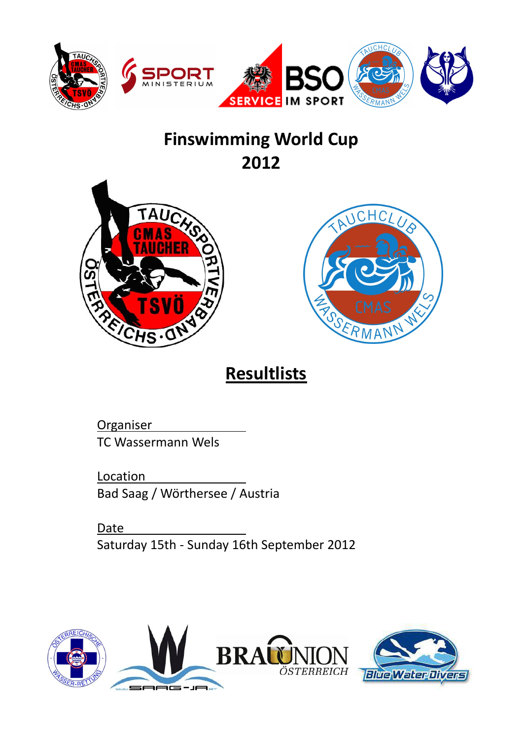

# **Finswimming World Cup 2012**





# **Resultlists**

**Organiser** TC Wassermann Wels

**Location** Bad Saag / Wörthersee / Austria

Date Saturday 15th - Sunday 16th September 2012

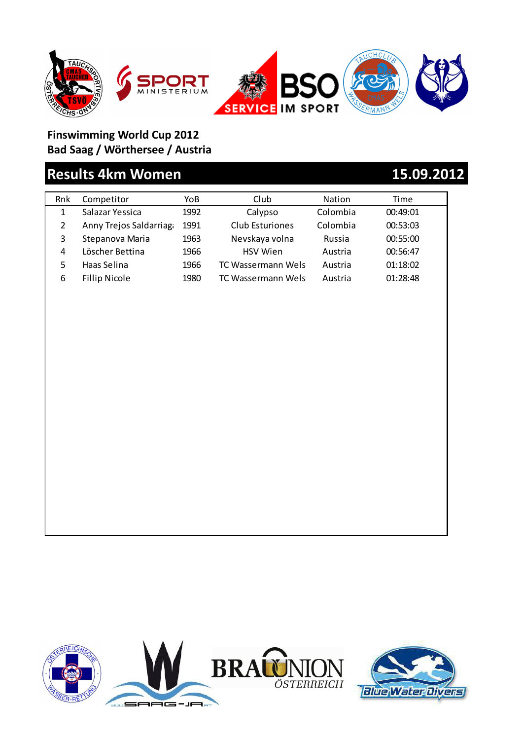

## **Results 4km Women 15.09.2012**

| Rnk | Competitor             | YoB  | Club                   | <b>Nation</b> | Time     |
|-----|------------------------|------|------------------------|---------------|----------|
| 1   | Salazar Yessica        | 1992 | Calypso                | Colombia      | 00:49:01 |
| 2   | Anny Trejos Saldarriag | 1991 | <b>Club Esturiones</b> | Colombia      | 00:53:03 |
| 3   | Stepanova Maria        | 1963 | Nevskaya volna         | Russia        | 00:55:00 |
| 4   | Löscher Bettina        | 1966 | <b>HSV</b> Wien        | Austria       | 00:56:47 |
| 5   | Haas Selina            | 1966 | TC Wassermann Wels     | Austria       | 01:18:02 |
| 6   | <b>Fillip Nicole</b>   | 1980 | TC Wassermann Wels     | Austria       | 01:28:48 |
|     |                        |      |                        |               |          |

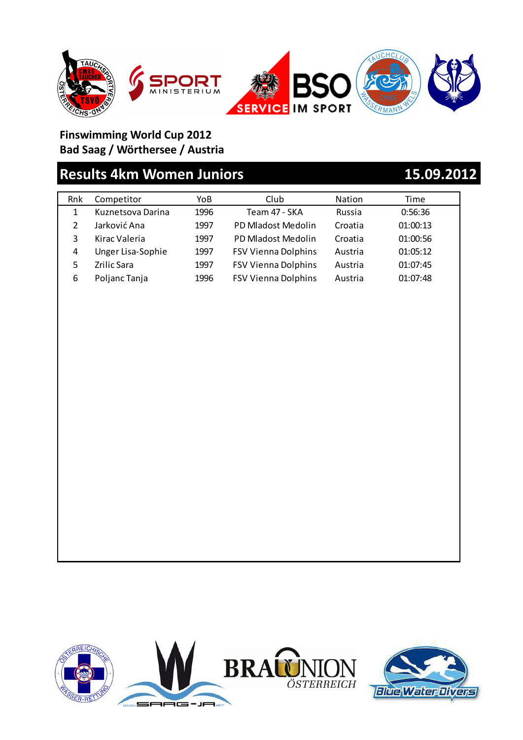

## **Results 4km Women Juniors 15.09.2012**

| Rnk | Competitor        | YoB  | Club                       | Nation  | Time     |
|-----|-------------------|------|----------------------------|---------|----------|
| 1   | Kuznetsova Darina | 1996 | Team 47 - SKA              | Russia  | 0:56:36  |
|     | Jarković Ana      | 1997 | PD Mladost Medolin         | Croatia | 01:00:13 |
| 3   | Kirac Valeria     | 1997 | PD Mladost Medolin         | Croatia | 01:00:56 |
| 4   | Unger Lisa-Sophie | 1997 | <b>FSV Vienna Dolphins</b> | Austria | 01:05:12 |
| 5   | Zrilic Sara       | 1997 | <b>FSV Vienna Dolphins</b> | Austria | 01:07:45 |
| 6   | Poljanc Tanja     | 1996 | <b>FSV Vienna Dolphins</b> | Austria | 01:07:48 |
|     |                   |      |                            |         |          |



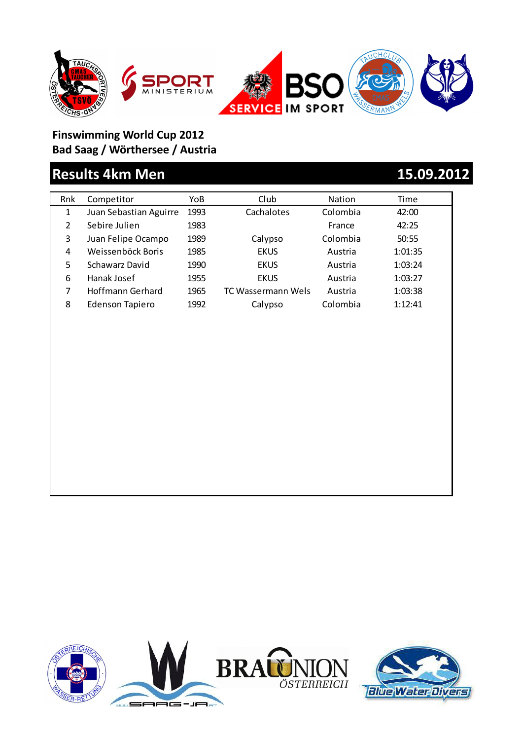







## **Results 4km Men 15.09.2012**

| Rnk | Competitor             | YoB  | Club               | <b>Nation</b> | Time    |
|-----|------------------------|------|--------------------|---------------|---------|
| 1   | Juan Sebastian Aguirre | 1993 | Cachalotes         | Colombia      | 42:00   |
| 2   | Sebire Julien          | 1983 |                    | France        | 42:25   |
| 3   | Juan Felipe Ocampo     | 1989 | Calypso            | Colombia      | 50:55   |
| 4   | Weissenböck Boris      | 1985 | <b>EKUS</b>        | Austria       | 1:01:35 |
| 5   | Schawarz David         | 1990 | <b>EKUS</b>        | Austria       | 1:03:24 |
| 6   | Hanak Josef            | 1955 | <b>EKUS</b>        | Austria       | 1:03:27 |
| 7   | Hoffmann Gerhard       | 1965 | TC Wassermann Wels | Austria       | 1:03:38 |
| 8   | <b>Edenson Tapiero</b> | 1992 | Calypso            | Colombia      | 1:12:41 |
|     |                        |      |                    |               |         |

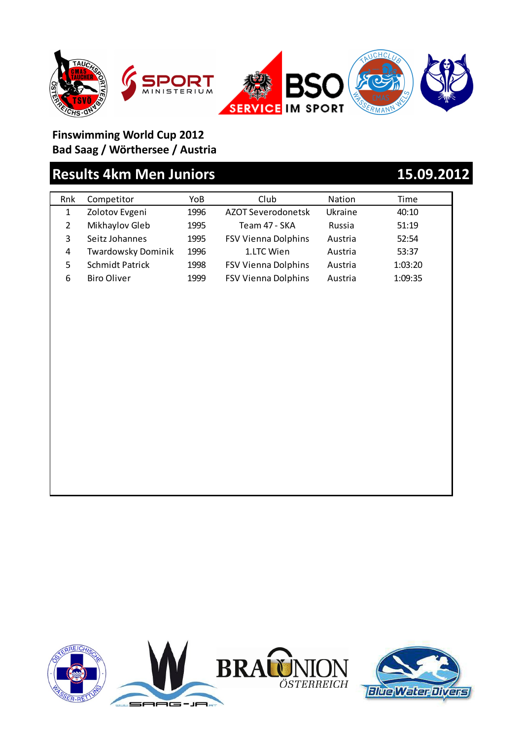





## **Results 4km Men Juniors 15.09.2012**

| Rnk | Competitor                | YoB  | Club                       | Nation  | Time    |
|-----|---------------------------|------|----------------------------|---------|---------|
| 1   | Zolotov Evgeni            | 1996 | AZOT Severodonetsk         | Ukraine | 40:10   |
| 2   | Mikhaylov Gleb            | 1995 | Team 47 - SKA              | Russia  | 51:19   |
| 3   | Seitz Johannes            | 1995 | <b>FSV Vienna Dolphins</b> | Austria | 52:54   |
| 4   | <b>Twardowsky Dominik</b> | 1996 | 1.LTC Wien                 | Austria | 53:37   |
| 5   | <b>Schmidt Patrick</b>    | 1998 | <b>FSV Vienna Dolphins</b> | Austria | 1:03:20 |
| 6   | <b>Biro Oliver</b>        | 1999 | <b>FSV Vienna Dolphins</b> | Austria | 1:09:35 |
|     |                           |      |                            |         |         |
|     |                           |      |                            |         |         |

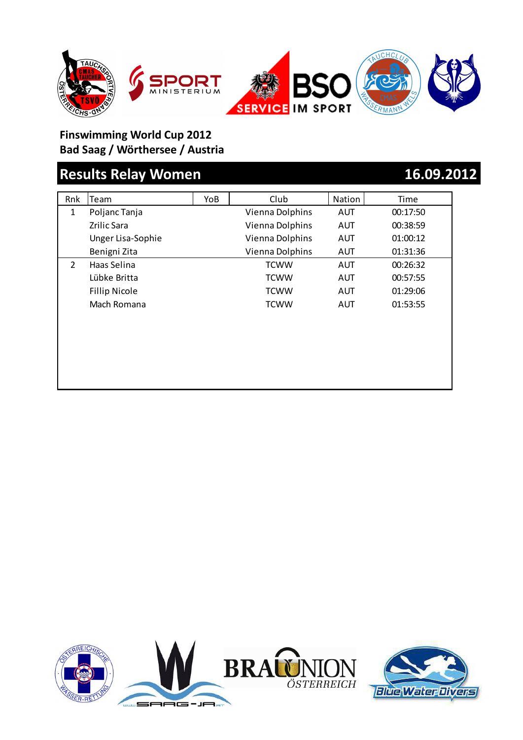

## **Results Relay Women 16.09.2012**

| Rnk            | Team                 | YoB | Club            | Nation     | Time     |
|----------------|----------------------|-----|-----------------|------------|----------|
| 1              | Poljanc Tanja        |     | Vienna Dolphins | <b>AUT</b> | 00:17:50 |
|                | <b>Zrilic Sara</b>   |     | Vienna Dolphins | AUT        | 00:38:59 |
|                | Unger Lisa-Sophie    |     | Vienna Dolphins | <b>AUT</b> | 01:00:12 |
|                | Benigni Zita         |     | Vienna Dolphins | AUT        | 01:31:36 |
| $\overline{2}$ | Haas Selina          |     | <b>TCWW</b>     | <b>AUT</b> | 00:26:32 |
|                | Lübke Britta         |     | <b>TCWW</b>     | <b>AUT</b> | 00:57:55 |
|                | <b>Fillip Nicole</b> |     | <b>TCWW</b>     | AUT        | 01:29:06 |
|                | Mach Romana          |     | <b>TCWW</b>     | AUT        | 01:53:55 |
|                |                      |     |                 |            |          |
|                |                      |     |                 |            |          |
|                |                      |     |                 |            |          |
|                |                      |     |                 |            |          |
|                |                      |     |                 |            |          |
|                |                      |     |                 |            |          |